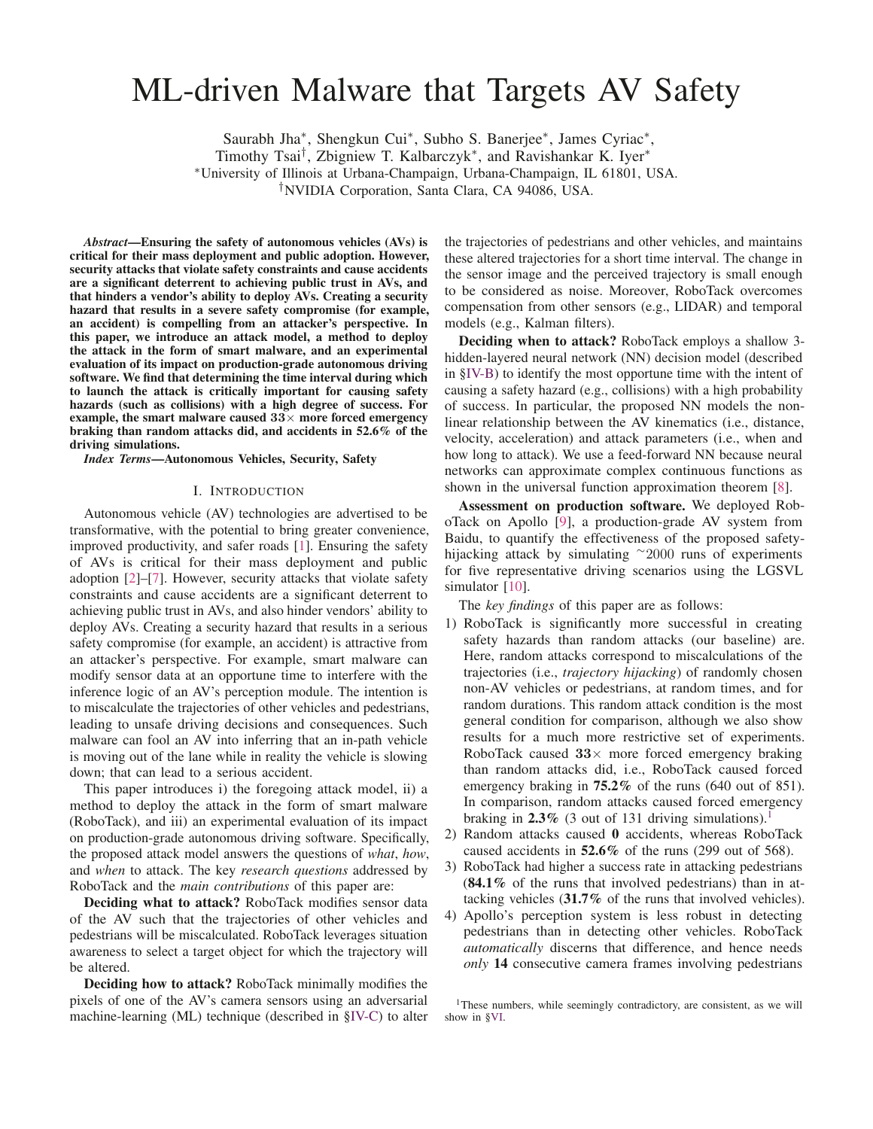# ML-driven Malware that Targets AV Safety

Saurabh Jha∗, Shengkun Cui∗, Subho S. Banerjee∗, James Cyriac∗,

Timothy Tsai†, Zbigniew T. Kalbarczyk∗, and Ravishankar K. Iyer<sup>∗</sup>

<sup>∗</sup>University of Illinois at Urbana-Champaign, Urbana-Champaign, IL 61801, USA.

†NVIDIA Corporation, Santa Clara, CA 94086, USA.

*Abstract*—Ensuring the safety of autonomous vehicles (AVs) is critical for their mass deployment and public adoption. However, security attacks that violate safety constraints and cause accidents are a significant deterrent to achieving public trust in AVs, and that hinders a vendor's ability to deploy AVs. Creating a security hazard that results in a severe safety compromise (for example, an accident) is compelling from an attacker's perspective. In this paper, we introduce an attack model, a method to deploy the attack in the form of smart malware, and an experimental evaluation of its impact on production-grade autonomous driving software. We find that determining the time interval during which to launch the attack is critically important for causing safety hazards (such as collisions) with a high degree of success. For example, the smart malware caused  $33\times$  more forced emergency braking than random attacks did, and accidents in 52.6% of the driving simulations.

*Index Terms*—Autonomous Vehicles, Security, Safety

#### I. INTRODUCTION

Autonomous vehicle (AV) technologies are advertised to be transformative, with the potential to bring greater convenience, improved productivity, and safer roads [1]. Ensuring the safety of AVs is critical for their mass deployment and public adoption [2]–[7]. However, security attacks that violate safety constraints and cause accidents are a significant deterrent to achieving public trust in AVs, and also hinder vendors' ability to deploy AVs. Creating a security hazard that results in a serious safety compromise (for example, an accident) is attractive from an attacker's perspective. For example, smart malware can modify sensor data at an opportune time to interfere with the inference logic of an AV's perception module. The intention is to miscalculate the trajectories of other vehicles and pedestrians, leading to unsafe driving decisions and consequences. Such malware can fool an AV into inferring that an in-path vehicle is moving out of the lane while in reality the vehicle is slowing down; that can lead to a serious accident.

This paper introduces i) the foregoing attack model, ii) a method to deploy the attack in the form of smart malware (RoboTack), and iii) an experimental evaluation of its impact on production-grade autonomous driving software. Specifically, the proposed attack model answers the questions of *what*, *how*, and *when* to attack. The key *research questions* addressed by RoboTack and the *main contributions* of this paper are:

Deciding what to attack? RoboTack modifies sensor data of the AV such that the trajectories of other vehicles and pedestrians will be miscalculated. RoboTack leverages situation awareness to select a target object for which the trajectory will be altered.

Deciding how to attack? RoboTack minimally modifies the pixels of one of the AV's camera sensors using an adversarial machine-learning (ML) technique (described in §IV-C) to alter the trajectories of pedestrians and other vehicles, and maintains these altered trajectories for a short time interval. The change in the sensor image and the perceived trajectory is small enough to be considered as noise. Moreover, RoboTack overcomes compensation from other sensors (e.g., LIDAR) and temporal models (e.g., Kalman filters).

Deciding when to attack? RoboTack employs a shallow 3 hidden-layered neural network (NN) decision model (described in §IV-B) to identify the most opportune time with the intent of causing a safety hazard (e.g., collisions) with a high probability of success. In particular, the proposed NN models the nonlinear relationship between the AV kinematics (i.e., distance, velocity, acceleration) and attack parameters (i.e., when and how long to attack). We use a feed-forward NN because neural networks can approximate complex continuous functions as shown in the universal function approximation theorem [8].

Assessment on production software. We deployed RoboTack on Apollo [9], a production-grade AV system from Baidu, to quantify the effectiveness of the proposed safetyhijacking attack by simulating <sup>∼</sup><sup>2000</sup> runs of experiments for five representative driving scenarios using the LGSVL simulator [10].

The *key findings* of this paper are as follows:

- 1) RoboTack is significantly more successful in creating safety hazards than random attacks (our baseline) are. Here, random attacks correspond to miscalculations of the trajectories (i.e., *trajectory hijacking*) of randomly chosen non-AV vehicles or pedestrians, at random times, and for random durations. This random attack condition is the most general condition for comparison, although we also show results for a much more restrictive set of experiments. RoboTack caused **33**× more forced emergency braking than random attacks did, i.e., RoboTack caused forced emergency braking in **75.2**% of the runs (640 out of 851). In comparison, random attacks caused forced emergency braking in  $2.3\%$  (3 out of 131 driving simulations).<sup>1</sup>
- 2) Random attacks caused 0 accidents, whereas RoboTack caused accidents in 52.6% of the runs (299 out of 568).
- 3) RoboTack had higher a success rate in attacking pedestrians  $(84.1\%$  of the runs that involved pedestrians) than in attacking vehicles (31.7% of the runs that involved vehicles).
- 4) Apollo's perception system is less robust in detecting pedestrians than in detecting other vehicles. RoboTack *automatically* discerns that difference, and hence needs *only* 14 consecutive camera frames involving pedestrians

<sup>&</sup>lt;sup>1</sup>These numbers, while seemingly contradictory, are consistent, as we will show in §VI.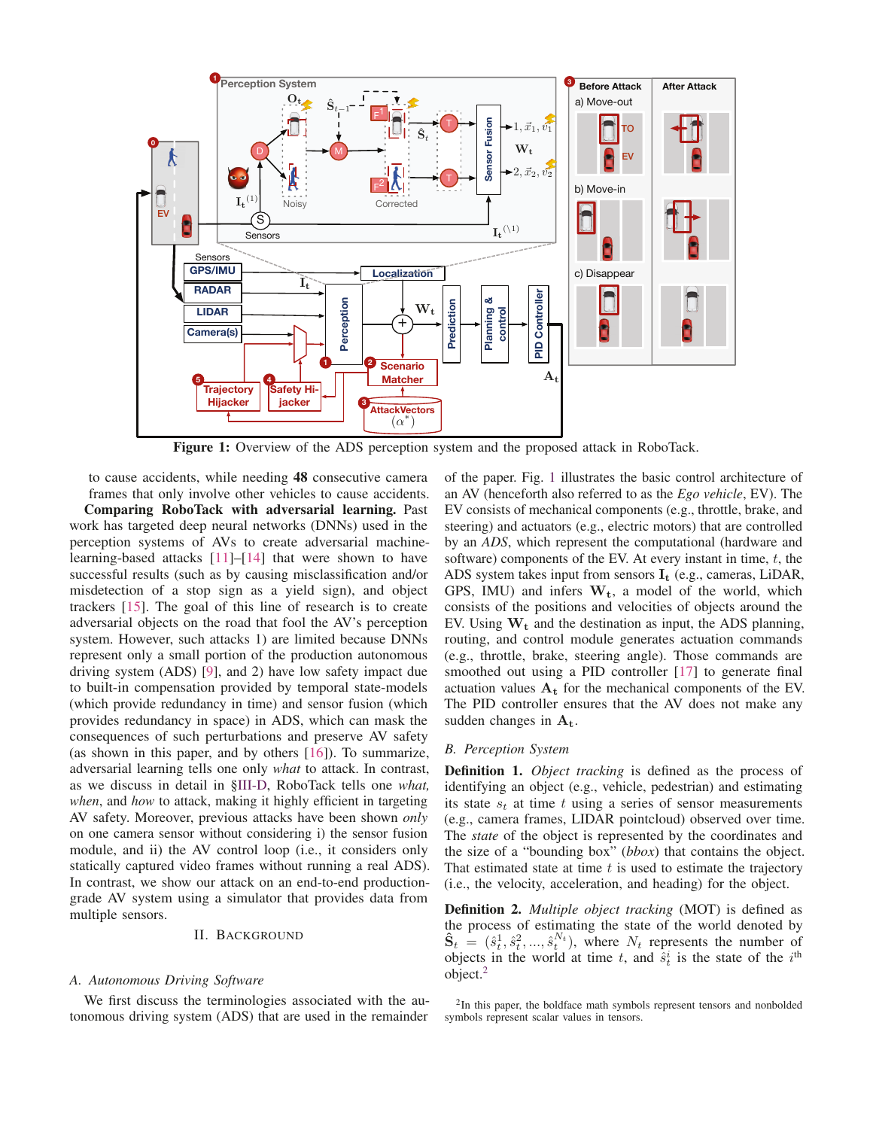

Figure 1: Overview of the ADS perception system and the proposed attack in RoboTack.

to cause accidents, while needing 48 consecutive camera frames that only involve other vehicles to cause accidents.

Comparing RoboTack with adversarial learning. Past work has targeted deep neural networks (DNNs) used in the perception systems of AVs to create adversarial machinelearning-based attacks [11]–[14] that were shown to have successful results (such as by causing misclassification and/or misdetection of a stop sign as a yield sign), and object trackers [15]. The goal of this line of research is to create adversarial objects on the road that fool the AV's perception system. However, such attacks 1) are limited because DNNs represent only a small portion of the production autonomous driving system (ADS) [9], and 2) have low safety impact due to built-in compensation provided by temporal state-models (which provide redundancy in time) and sensor fusion (which provides redundancy in space) in ADS, which can mask the consequences of such perturbations and preserve AV safety (as shown in this paper, and by others [16]). To summarize, adversarial learning tells one only *what* to attack. In contrast, as we discuss in detail in §III-D, RoboTack tells one *what, when*, and *how* to attack, making it highly efficient in targeting AV safety. Moreover, previous attacks have been shown *only* on one camera sensor without considering i) the sensor fusion module, and ii) the AV control loop (i.e., it considers only statically captured video frames without running a real ADS). In contrast, we show our attack on an end-to-end productiongrade AV system using a simulator that provides data from multiple sensors.

#### II. BACKGROUND

#### *A. Autonomous Driving Software*

We first discuss the terminologies associated with the autonomous driving system (ADS) that are used in the remainder

of the paper. Fig. 1 illustrates the basic control architecture of an AV (henceforth also referred to as the *Ego vehicle*, EV). The EV consists of mechanical components (e.g., throttle, brake, and steering) and actuators (e.g., electric motors) that are controlled by an *ADS*, which represent the computational (hardware and software) components of the EV. At every instant in time,  $t$ , the ADS system takes input from sensors **I<sup>t</sup>** (e.g., cameras, LiDAR, GPS, IMU) and infers **Wt**, a model of the world, which consists of the positions and velocities of objects around the EV. Using  $W_t$  and the destination as input, the ADS planning, routing, and control module generates actuation commands (e.g., throttle, brake, steering angle). Those commands are smoothed out using a PID controller [17] to generate final actuation values **A<sup>t</sup>** for the mechanical components of the EV. The PID controller ensures that the AV does not make any sudden changes in **At**.

#### *B. Perception System*

Definition 1. *Object tracking* is defined as the process of identifying an object (e.g., vehicle, pedestrian) and estimating its state  $s_t$  at time t using a series of sensor measurements (e.g., camera frames, LIDAR pointcloud) observed over time. The *state* of the object is represented by the coordinates and the size of a "bounding box" (*bbox*) that contains the object. That estimated state at time  $t$  is used to estimate the trajectory (i.e., the velocity, acceleration, and heading) for the object.

Definition 2. *Multiple object tracking* (MOT) is defined as the process of estimating the state of the world denoted by  $\hat{\mathbf{S}}_t = (\hat{s}_t^1, \hat{s}_t^2, ..., \hat{s}_t^{N_t})$ , where  $N_t$  represents the number of objects in the world at time  $t$  and  $\hat{s}_t^i$  is the state of the *i*<sup>th</sup> objects in the world at time t, and  $\hat{s}_t^i$  is the state of the  $i^{\text{th}}$  object <sup>2</sup> object. $2$ 

<sup>&</sup>lt;sup>2</sup>In this paper, the boldface math symbols represent tensors and nonbolded symbols represent scalar values in tensors.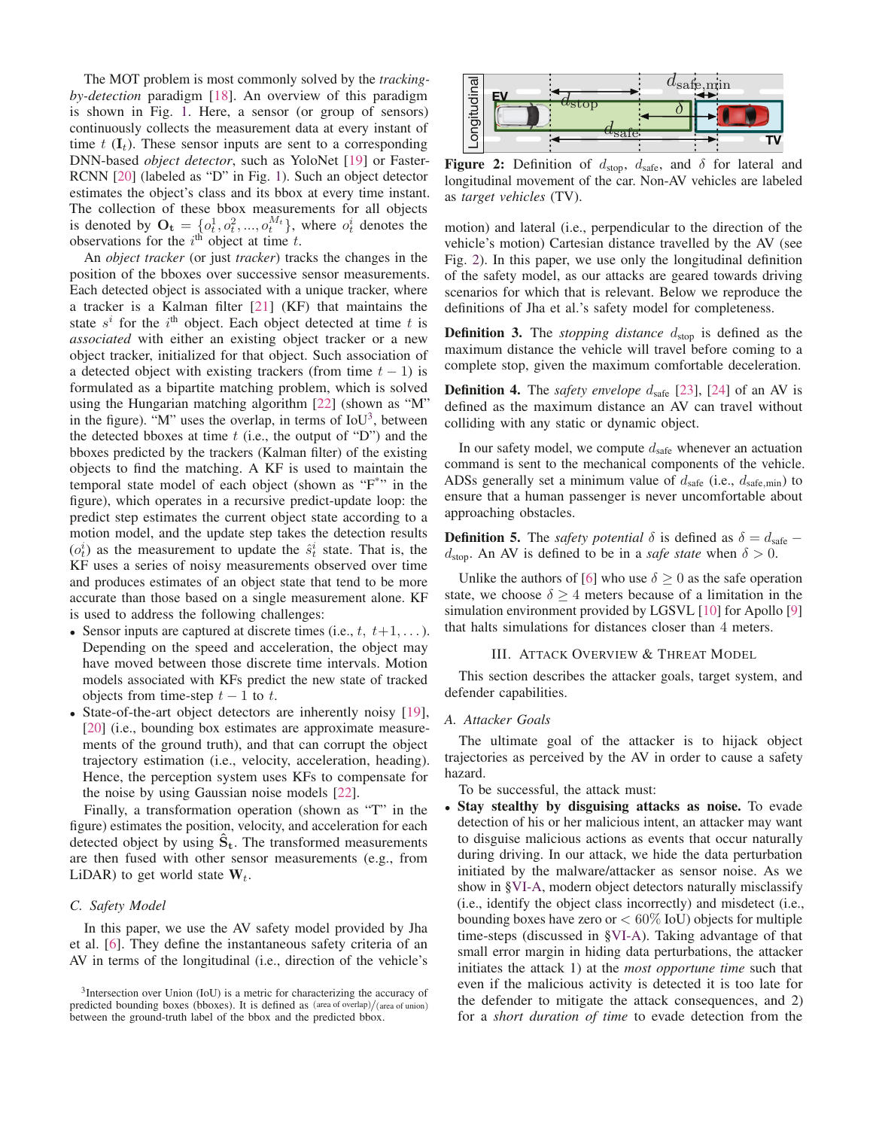The MOT problem is most commonly solved by the *trackingby-detection* paradigm [18]. An overview of this paradigm is shown in Fig. 1. Here, a sensor (or group of sensors) continuously collects the measurement data at every instant of time  $t \left( \mathbf{I}_t \right)$ . These sensor inputs are sent to a corresponding DNN-based *object detector*, such as YoloNet [19] or Faster-RCNN [20] (labeled as "D" in Fig. 1). Such an object detector estimates the object's class and its bbox at every time instant. The collection of these bbox measurements for all objects is denoted by  $\mathbf{O_t} = \{o_t^1, o_t^2, ..., o_t^{M_t}\}$ , where  $o_t^i$  denotes the observations for the *i*<sup>th</sup> object at time *t* observations for the  $i^{\text{th}}$  object at time t.

An *object tracker* (or just *tracker*) tracks the changes in the position of the bboxes over successive sensor measurements. Each detected object is associated with a unique tracker, where a tracker is a Kalman filter [21] (KF) that maintains the state  $s^i$  for the  $i^{\text{th}}$  object. Each object detected at time t is *associated* with either an existing object tracker or a new object tracker, initialized for that object. Such association of a detected object with existing trackers (from time  $t - 1$ ) is formulated as a bipartite matching problem, which is solved using the Hungarian matching algorithm [22] (shown as "M" in the figure). "M" uses the overlap, in terms of  $IoU<sup>3</sup>$ , between the detected bboxes at time  $t$  (i.e., the output of "D") and the bboxes predicted by the trackers (Kalman filter) of the existing objects to find the matching. A KF is used to maintain the temporal state model of each object (shown as "F\*" in the figure), which operates in a recursive predict-update loop: the predict step estimates the current object state according to a motion model, and the update step takes the detection results  $(o_t^i)$  as the measurement to update the  $\hat{s}_t^i$  state. That is, the KF uses a series of noisy measurements observed over time KF uses a series of noisy measurements observed over time and produces estimates of an object state that tend to be more accurate than those based on a single measurement alone. KF is used to address the following challenges:

- Sensor inputs are captured at discrete times (i.e.,  $t, t+1,...$ ). Depending on the speed and acceleration, the object may have moved between those discrete time intervals. Motion models associated with KFs predict the new state of tracked objects from time-step  $t - 1$  to  $t$ .
- State-of-the-art object detectors are inherently noisy [19], [20] (i.e., bounding box estimates are approximate measurements of the ground truth), and that can corrupt the object trajectory estimation (i.e., velocity, acceleration, heading). Hence, the perception system uses KFs to compensate for the noise by using Gaussian noise models [22].

Finally, a transformation operation (shown as "T" in the figure) estimates the position, velocity, and acceleration for each detected object by using  $S_t$ . The transformed measurements are then fused with other sensor measurements (e.g., from LiDAR) to get world state  $W_t$ .

## *C. Safety Model*

In this paper, we use the AV safety model provided by Jha et al. [6]. They define the instantaneous safety criteria of an AV in terms of the longitudinal (i.e., direction of the vehicle's



Figure 2: Definition of  $d_{stop}$ ,  $d_{safe}$ , and  $\delta$  for lateral and longitudinal movement of the car. Non-AV vehicles are labeled as *target vehicles* (TV).

motion) and lateral (i.e., perpendicular to the direction of the vehicle's motion) Cartesian distance travelled by the AV (see Fig. 2). In this paper, we use only the longitudinal definition of the safety model, as our attacks are geared towards driving scenarios for which that is relevant. Below we reproduce the definitions of Jha et al.'s safety model for completeness.

**Definition 3.** The *stopping distance*  $d_{stop}$  is defined as the maximum distance the vehicle will travel before coming to a complete stop, given the maximum comfortable deceleration.

**Definition 4.** The *safety envelope*  $d_{\text{safe}}$  [23], [24] of an AV is defined as the maximum distance an AV can travel without colliding with any static or dynamic object.

In our safety model, we compute  $d_{\text{safe}}$  whenever an actuation command is sent to the mechanical components of the vehicle. ADSs generally set a minimum value of  $d_{\text{safe}}$  (i.e.,  $d_{\text{safe,min}}$ ) to ensure that a human passenger is never uncomfortable about approaching obstacles.

**Definition 5.** The *safety potential*  $\delta$  is defined as  $\delta = d_{\text{safe}}$  $d_{\text{stop}}$ . An AV is defined to be in a *safe state* when  $\delta > 0$ .

Unlike the authors of [6] who use  $\delta \geq 0$  as the safe operation state, we choose  $\delta \geq 4$  meters because of a limitation in the simulation environment provided by LGSVL [10] for Apollo [9] that halts simulations for distances closer than 4 meters.

#### III. ATTACK OVERVIEW & THREAT MODEL

This section describes the attacker goals, target system, and defender capabilities.

#### *A. Attacker Goals*

The ultimate goal of the attacker is to hijack object trajectories as perceived by the AV in order to cause a safety hazard.

To be successful, the attack must:

• Stay stealthy by disguising attacks as noise. To evade detection of his or her malicious intent, an attacker may want to disguise malicious actions as events that occur naturally during driving. In our attack, we hide the data perturbation initiated by the malware/attacker as sensor noise. As we show in §VI-A, modern object detectors naturally misclassify (i.e., identify the object class incorrectly) and misdetect (i.e., bounding boxes have zero or  $< 60\%$  IoU) objects for multiple time-steps (discussed in §VI-A). Taking advantage of that small error margin in hiding data perturbations, the attacker initiates the attack 1) at the *most opportune time* such that even if the malicious activity is detected it is too late for the defender to mitigate the attack consequences, and 2) for a *short duration of time* to evade detection from the

<sup>&</sup>lt;sup>3</sup>Intersection over Union (IoU) is a metric for characterizing the accuracy of predicted bounding boxes (bboxes). It is defined as (area of overlap)/(area of union) between the ground-truth label of the bbox and the predicted bbox.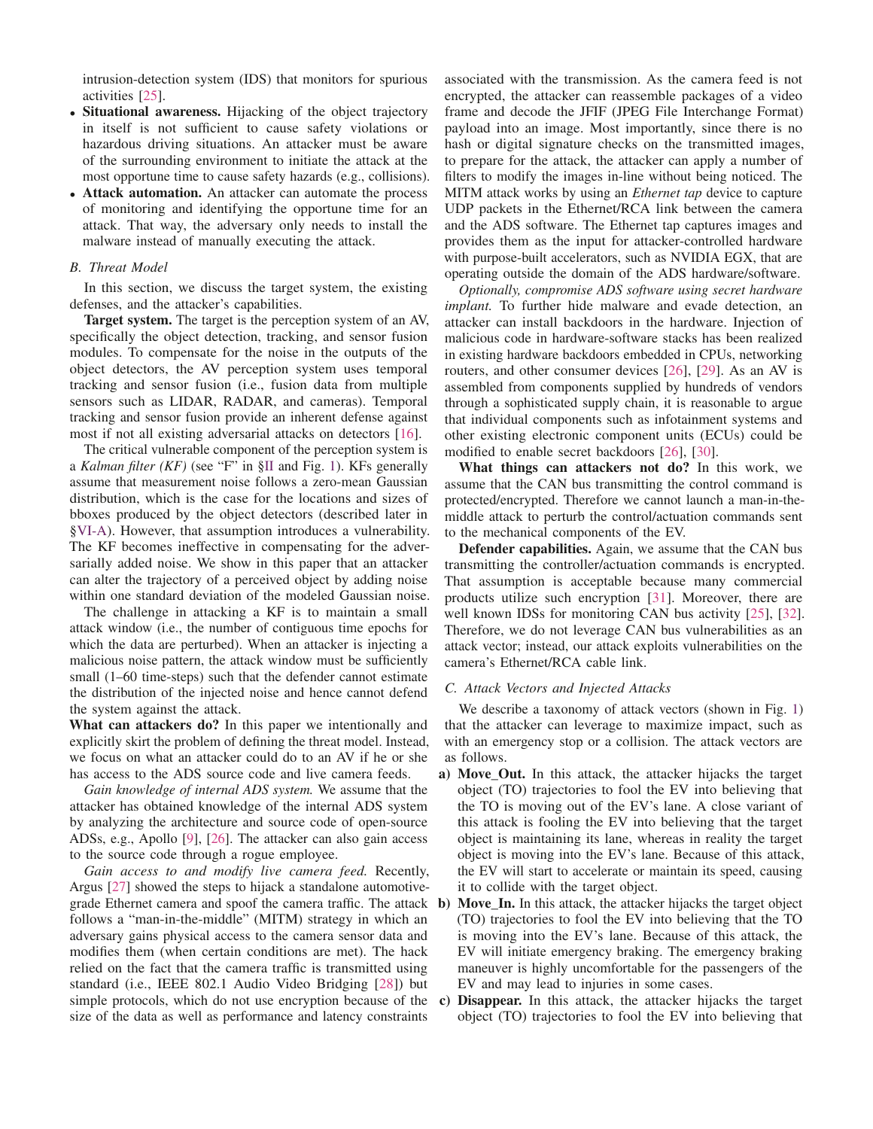intrusion-detection system (IDS) that monitors for spurious activities [25].

- Situational awareness. Hijacking of the object trajectory in itself is not sufficient to cause safety violations or hazardous driving situations. An attacker must be aware of the surrounding environment to initiate the attack at the most opportune time to cause safety hazards (e.g., collisions).
- Attack automation. An attacker can automate the process of monitoring and identifying the opportune time for an attack. That way, the adversary only needs to install the malware instead of manually executing the attack.

# *B. Threat Model*

In this section, we discuss the target system, the existing defenses, and the attacker's capabilities.

Target system. The target is the perception system of an AV, specifically the object detection, tracking, and sensor fusion modules. To compensate for the noise in the outputs of the object detectors, the AV perception system uses temporal tracking and sensor fusion (i.e., fusion data from multiple sensors such as LIDAR, RADAR, and cameras). Temporal tracking and sensor fusion provide an inherent defense against most if not all existing adversarial attacks on detectors [16].

The critical vulnerable component of the perception system is a *Kalman filter (KF)* (see "F" in §II and Fig. 1). KFs generally assume that measurement noise follows a zero-mean Gaussian distribution, which is the case for the locations and sizes of bboxes produced by the object detectors (described later in §VI-A). However, that assumption introduces a vulnerability. The KF becomes ineffective in compensating for the adversarially added noise. We show in this paper that an attacker can alter the trajectory of a perceived object by adding noise within one standard deviation of the modeled Gaussian noise.

The challenge in attacking a KF is to maintain a small attack window (i.e., the number of contiguous time epochs for which the data are perturbed). When an attacker is injecting a malicious noise pattern, the attack window must be sufficiently small (1–60 time-steps) such that the defender cannot estimate the distribution of the injected noise and hence cannot defend the system against the attack.

What can attackers do? In this paper we intentionally and explicitly skirt the problem of defining the threat model. Instead, we focus on what an attacker could do to an AV if he or she has access to the ADS source code and live camera feeds.

*Gain knowledge of internal ADS system.* We assume that the attacker has obtained knowledge of the internal ADS system by analyzing the architecture and source code of open-source ADSs, e.g., Apollo [9], [26]. The attacker can also gain access to the source code through a rogue employee.

*Gain access to and modify live camera feed.* Recently, Argus [27] showed the steps to hijack a standalone automotivegrade Ethernet camera and spoof the camera traffic. The attack follows a "man-in-the-middle" (MITM) strategy in which an adversary gains physical access to the camera sensor data and modifies them (when certain conditions are met). The hack relied on the fact that the camera traffic is transmitted using standard (i.e., IEEE 802.1 Audio Video Bridging [28]) but simple protocols, which do not use encryption because of the size of the data as well as performance and latency constraints

associated with the transmission. As the camera feed is not encrypted, the attacker can reassemble packages of a video frame and decode the JFIF (JPEG File Interchange Format) payload into an image. Most importantly, since there is no hash or digital signature checks on the transmitted images, to prepare for the attack, the attacker can apply a number of filters to modify the images in-line without being noticed. The MITM attack works by using an *Ethernet tap* device to capture UDP packets in the Ethernet/RCA link between the camera and the ADS software. The Ethernet tap captures images and provides them as the input for attacker-controlled hardware with purpose-built accelerators, such as NVIDIA EGX, that are operating outside the domain of the ADS hardware/software.

*Optionally, compromise ADS software using secret hardware implant.* To further hide malware and evade detection, an attacker can install backdoors in the hardware. Injection of malicious code in hardware-software stacks has been realized in existing hardware backdoors embedded in CPUs, networking routers, and other consumer devices [26], [29]. As an AV is assembled from components supplied by hundreds of vendors through a sophisticated supply chain, it is reasonable to argue that individual components such as infotainment systems and other existing electronic component units (ECUs) could be modified to enable secret backdoors [26], [30].

What things can attackers not do? In this work, we assume that the CAN bus transmitting the control command is protected/encrypted. Therefore we cannot launch a man-in-themiddle attack to perturb the control/actuation commands sent to the mechanical components of the EV.

Defender capabilities. Again, we assume that the CAN bus transmitting the controller/actuation commands is encrypted. That assumption is acceptable because many commercial products utilize such encryption [31]. Moreover, there are well known IDSs for monitoring CAN bus activity [25], [32]. Therefore, we do not leverage CAN bus vulnerabilities as an attack vector; instead, our attack exploits vulnerabilities on the camera's Ethernet/RCA cable link.

# *C. Attack Vectors and Injected Attacks*

We describe a taxonomy of attack vectors (shown in Fig. 1) that the attacker can leverage to maximize impact, such as with an emergency stop or a collision. The attack vectors are as follows.

- a) Move\_Out. In this attack, the attacker hijacks the target object (TO) trajectories to fool the EV into believing that the TO is moving out of the EV's lane. A close variant of this attack is fooling the EV into believing that the target object is maintaining its lane, whereas in reality the target object is moving into the EV's lane. Because of this attack, the EV will start to accelerate or maintain its speed, causing it to collide with the target object.
- b) Move In. In this attack, the attacker hijacks the target object (TO) trajectories to fool the EV into believing that the TO is moving into the EV's lane. Because of this attack, the EV will initiate emergency braking. The emergency braking maneuver is highly uncomfortable for the passengers of the EV and may lead to injuries in some cases.
- c) Disappear. In this attack, the attacker hijacks the target object (TO) trajectories to fool the EV into believing that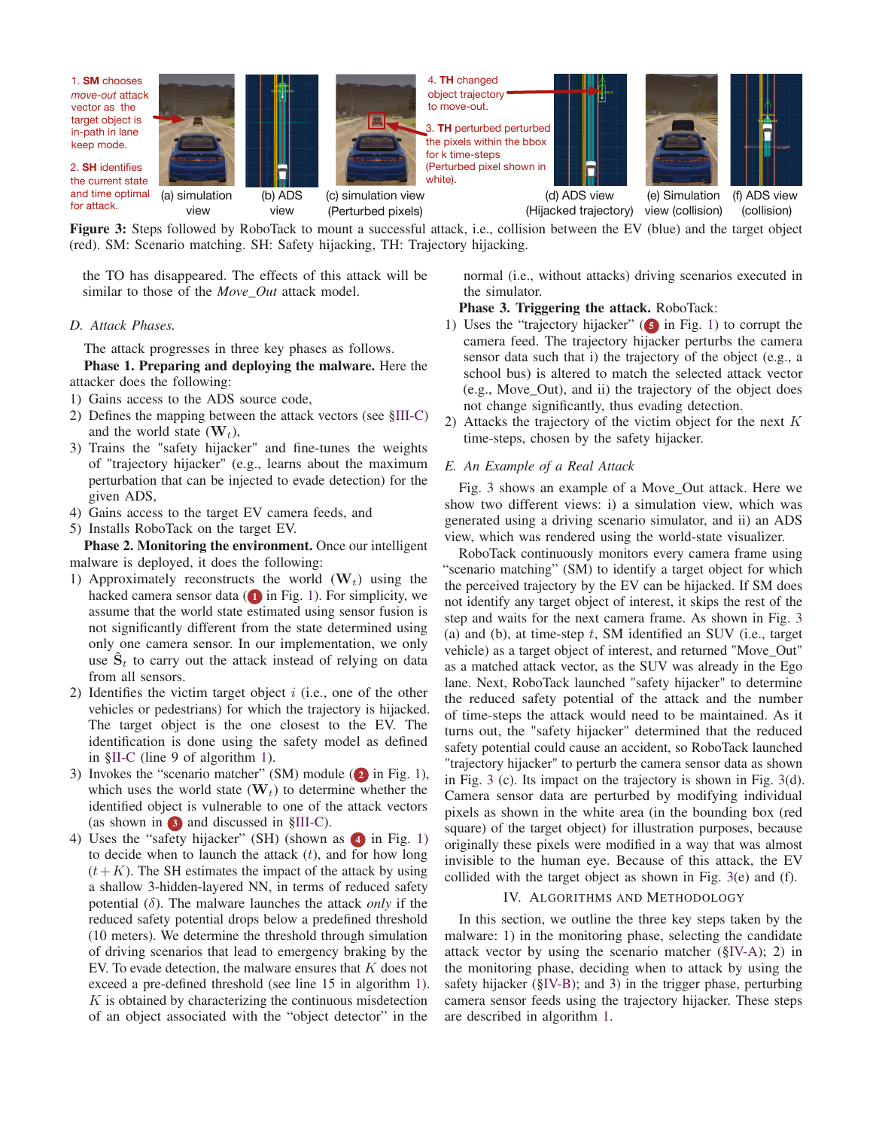

Figure 3: Steps followed by RoboTack to mount a successful attack, i.e., collision between the EV (blue) and the target object (red). SM: Scenario matching. SH: Safety hijacking, TH: Trajectory hijacking.

the TO has disappeared. The effects of this attack will be similar to those of the *Move\_Out* attack model.

# *D. Attack Phases.*

The attack progresses in three key phases as follows.

Phase 1. Preparing and deploying the malware. Here the attacker does the following:

- 1) Gains access to the ADS source code,
- 2) Defines the mapping between the attack vectors (see §III-C) and the world state  $(\mathbf{W}_t)$ ,
- 3) Trains the "safety hijacker" and fine-tunes the weights of "trajectory hijacker" (e.g., learns about the maximum perturbation that can be injected to evade detection) for the given ADS,
- 4) Gains access to the target EV camera feeds, and
- 5) Installs RoboTack on the target EV.

Phase 2. Monitoring the environment. Once our intelligent malware is deployed, it does the following:

- 1) Approximately reconstructs the world  $(\mathbf{W}_t)$  using the hacked camera sensor data  $(1)$  in Fig. 1). For simplicity, we assume that the world state estimated using sensor fusion is not significantly different from the state determined using only one camera sensor. In our implementation, we only use  $\hat{\mathbf{S}}_t$  to carry out the attack instead of relying on data from all sensors.
- 2) Identifies the victim target object  $i$  (i.e., one of the other vehicles or pedestrians) for which the trajectory is hijacked. The target object is the one closest to the EV. The identification is done using the safety model as defined in §II-C (line 9 of algorithm 1).
- 3) Invokes the "scenario matcher" (SM) module ( $2$  in Fig. 1), which uses the world state  $(\mathbf{W}_t)$  to determine whether the identified object is vulnerable to one of the attack vectors (as shown in  $\beta$ ) and discussed in  $\S$ III-C).
- 4) Uses the "safety hijacker" (SH) (shown as  $\triangle$  in Fig. 1) to decide when to launch the attack  $(t)$ , and for how long  $(t+K)$ . The SH estimates the impact of the attack by using a shallow 3-hidden-layered NN, in terms of reduced safety potential (δ). The malware launches the attack *only* if the reduced safety potential drops below a predefined threshold (10 meters). We determine the threshold through simulation of driving scenarios that lead to emergency braking by the EV. To evade detection, the malware ensures that  $K$  does not exceed a pre-defined threshold (see line 15 in algorithm 1).  $K$  is obtained by characterizing the continuous misdetection of an object associated with the "object detector" in the

normal (i.e., without attacks) driving scenarios executed in the simulator.

# Phase 3. Triggering the attack. RoboTack:

- 1) Uses the "trajectory hijacker" ( $\Box$ ) in Fig. 1) to corrupt the camera feed. The trajectory hijacker perturbs the camera sensor data such that i) the trajectory of the object (e.g., a school bus) is altered to match the selected attack vector (e.g., Move\_Out), and ii) the trajectory of the object does not change significantly, thus evading detection.
- 2) Attacks the trajectory of the victim object for the next  $K$ time-steps, chosen by the safety hijacker.

#### *E. An Example of a Real Attack*

Fig. 3 shows an example of a Move\_Out attack. Here we show two different views: i) a simulation view, which was generated using a driving scenario simulator, and ii) an ADS view, which was rendered using the world-state visualizer.

RoboTack continuously monitors every camera frame using "scenario matching" (SM) to identify a target object for which the perceived trajectory by the EV can be hijacked. If SM does not identify any target object of interest, it skips the rest of the step and waits for the next camera frame. As shown in Fig. 3 (a) and (b), at time-step  $t$ , SM identified an SUV (i.e., target vehicle) as a target object of interest, and returned "Move\_Out" as a matched attack vector, as the SUV was already in the Ego lane. Next, RoboTack launched "safety hijacker" to determine the reduced safety potential of the attack and the number of time-steps the attack would need to be maintained. As it turns out, the "safety hijacker" determined that the reduced safety potential could cause an accident, so RoboTack launched "trajectory hijacker" to perturb the camera sensor data as shown in Fig. 3 (c). Its impact on the trajectory is shown in Fig. 3(d). Camera sensor data are perturbed by modifying individual pixels as shown in the white area (in the bounding box (red square) of the target object) for illustration purposes, because originally these pixels were modified in a way that was almost invisible to the human eye. Because of this attack, the EV collided with the target object as shown in Fig. 3(e) and (f).

## IV. ALGORITHMS AND METHODOLOGY

In this section, we outline the three key steps taken by the malware: 1) in the monitoring phase, selecting the candidate attack vector by using the scenario matcher (§IV-A); 2) in the monitoring phase, deciding when to attack by using the safety hijacker (§IV-B); and 3) in the trigger phase, perturbing camera sensor feeds using the trajectory hijacker. These steps are described in algorithm 1.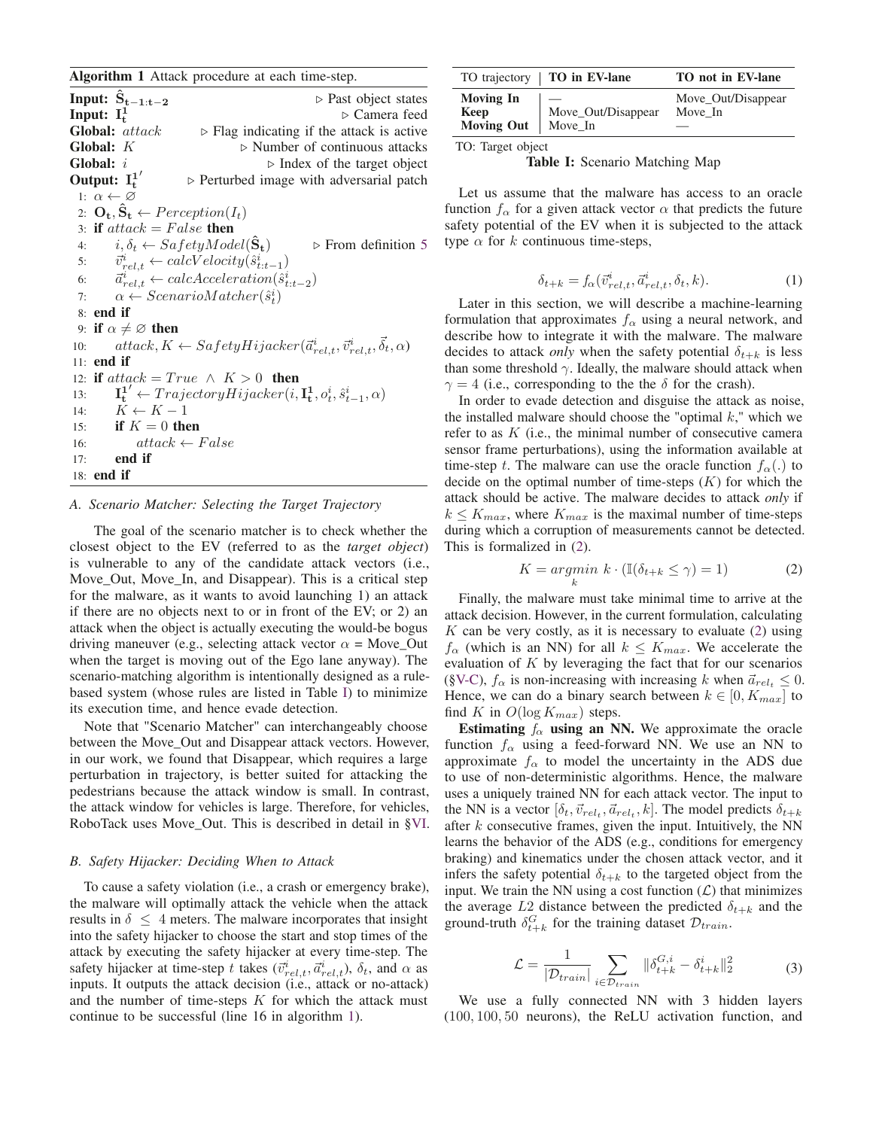Algorithm 1 Attack procedure at each time-step.

**Input:**  $S_{t-1:t-2}$  ⊳ Past object states Input:  $I_t^1$ **<sup>t</sup>** Camera feed **Global:**  $attack \rightarrow Flag$  indicating if the attack is active **Global:**  $K \rightarrow$  Number of continuous attacks Global:  $i \rightarrow$  Index of the target object Output:  $I_t^1$  $\triangleright$  Perturbed image with adversarial patch 1:  $\alpha \leftarrow \varnothing$ 2:  $\mathbf{O}_t$ ,  $\hat{\mathbf{S}}_t \leftarrow \text{Perception}(I_t)$ 3: if  $attack = False$  then<br>4:  $i, \delta_t \leftarrow SafetyMod$  $i, \delta_t \leftarrow$  Sa fetyModel( $\hat{S}_t$ )  $\triangleright$  From definition 5  $5:$  $\vec{v}^i_{rel,t} \leftarrow calcVelocity(\hat{s}^i_t) \ \vec{\sigma}^i_t \leftarrow calcAceleratic$ 5:  $v_{rel,t} \leftarrow \text{calc} \times \text{eocity}(s_{t:t-1})$ <br>
6:  $\vec{a}_{rel,t}^i \leftarrow \text{calcAcceleration}(\hat{s}_{t:t-2}^i)$ <br>
7:  $\alpha \leftarrow \text{ScenarioMatcher}(\hat{s}_t^i)$ 7:  $\alpha \leftarrow ScenarioMatcher(\hat{s}_t^i)$ <br> **a end if** 8: end if 9: if  $\alpha \neq \emptyset$  then<br>10:  $attack, K$ . 10:  $atack, K \leftarrow SafetyHijacker(\vec{a}_{rel,t}^i, \vec{v}_{rel,t}^i, \vec{\delta}_t, \alpha)$ <br>11: end if 11: end if 12: **if** attack = True  $\land$   $K > 0$  **then**<br>13:  $\mathbf{I}^{1'} \leftarrow Traiector u Hijacker(i.$ 13:  $\mathbf{I}_{\mathbf{t}}^{\mathbf{1}'} \leftarrow TrajectoryHijacker(i, \mathbf{I}_{\mathbf{t}}^{\mathbf{1}}, o_t^i, \hat{s}_{t-1}^i, \alpha)$ <br>  $\mathbf{I}_{\mathbf{t}}^{\mathbf{t}} \leftarrow K - 1$ 14:  $K \leftarrow K - 1$ <br>15: **if**  $K = 0$  the 15: **if**  $K = 0$  then<br>16:  $attack \leftarrow$  $attack \leftarrow False$ 17: end if 18: end if

# *A. Scenario Matcher: Selecting the Target Trajectory*

The goal of the scenario matcher is to check whether the closest object to the EV (referred to as the *target object*) is vulnerable to any of the candidate attack vectors (i.e., Move\_Out, Move\_In, and Disappear). This is a critical step for the malware, as it wants to avoid launching 1) an attack if there are no objects next to or in front of the EV; or 2) an attack when the object is actually executing the would-be bogus driving maneuver (e.g., selecting attack vector  $\alpha$  = Move\_Out when the target is moving out of the Ego lane anyway). The scenario-matching algorithm is intentionally designed as a rulebased system (whose rules are listed in Table I) to minimize its execution time, and hence evade detection.

Note that "Scenario Matcher" can interchangeably choose between the Move\_Out and Disappear attack vectors. However, in our work, we found that Disappear, which requires a large perturbation in trajectory, is better suited for attacking the pedestrians because the attack window is small. In contrast, the attack window for vehicles is large. Therefore, for vehicles, RoboTack uses Move\_Out. This is described in detail in §VI.

## *B. Safety Hijacker: Deciding When to Attack*

To cause a safety violation (i.e., a crash or emergency brake), the malware will optimally attack the vehicle when the attack results in  $\delta \leq 4$  meters. The malware incorporates that insight into the safety hijacker to choose the start and stop times of the attack by executing the safety hijacker at every time-step. The safety hijacker at time-step t takes  $(\vec{v}_{rel,t}^i, \vec{a}_{rel,t}^i)$ ,  $\delta_t$ , and  $\alpha$  as inputs. It outputs the attack decision (i.e., attack or no-attack) and the number of time-steps  $K$  for which the attack must continue to be successful (line 16 in algorithm 1).

|                                                      | TO trajectory   <b>TO</b> in EV-lane | TO not in EV-lane             |
|------------------------------------------------------|--------------------------------------|-------------------------------|
| <b>Moving In</b><br><b>Keep</b><br><b>Moving Out</b> | Move_Out/Disappear<br>Move_In        | Move_Out/Disappear<br>Move In |

TO: Target object

Table I: Scenario Matching Map

Let us assume that the malware has access to an oracle function  $f_\alpha$  for a given attack vector  $\alpha$  that predicts the future safety potential of the EV when it is subjected to the attack type  $\alpha$  for k continuous time-steps,

$$
\delta_{t+k} = f_{\alpha}(\vec{v}_{rel,t}^i, \vec{a}_{rel,t}^i, \delta_t, k). \tag{1}
$$

Later in this section, we will describe a machine-learning formulation that approximates  $f_{\alpha}$  using a neural network, and describe how to integrate it with the malware. The malware decides to attack *only* when the safety potential  $\delta_{t+k}$  is less than some threshold  $\gamma$ . Ideally, the malware should attack when  $\gamma = 4$  (i.e., corresponding to the the  $\delta$  for the crash).

In order to evade detection and disguise the attack as noise, the installed malware should choose the "optimal  $k$ ," which we refer to as K (i.e., the minimal number of consecutive camera sensor frame perturbations), using the information available at time-step t. The malware can use the oracle function  $f_{\alpha}$ .) to decide on the optimal number of time-steps  $(K)$  for which the attack should be active. The malware decides to attack *only* if  $k \leq K_{max}$ , where  $K_{max}$  is the maximal number of time-steps during which a corruption of measurements cannot be detected. This is formalized in (2).

$$
K = \underset{k}{\operatorname{argmin}} \ k \cdot (\mathbb{I}(\delta_{t+k} \le \gamma) = 1) \tag{2}
$$

Finally, the malware must take minimal time to arrive at the attack decision. However, in the current formulation, calculating  $K$  can be very costly, as it is necessary to evaluate (2) using  $f_{\alpha}$  (which is an NN) for all  $k \leq K_{max}$ . We accelerate the evaluation of  $K$  by leveraging the fact that for our scenarios (§V-C),  $f_{\alpha}$  is non-increasing with increasing k when  $\vec{a}_{rel} \leq 0$ .<br>Hence, we can do a binary search between  $k \in [0, K_{\alpha}]$  to Hence, we can do a binary search between  $k \in [0, K_{max}]$  to find K in  $O(\log K_{max})$  steps.

Estimating  $f_{\alpha}$  using an NN. We approximate the oracle function  $f_\alpha$  using a feed-forward NN. We use an NN to approximate  $f_{\alpha}$  to model the uncertainty in the ADS due to use of non-deterministic algorithms. Hence, the malware uses a uniquely trained NN for each attack vector. The input to the NN is a vector  $[\delta_t, \vec{v}_{rel_t}, \vec{a}_{rel_t}, k]$ . The model predicts  $\delta_{t+k}$ <br>after k consecutive frames given the input Intuitively the NN after  $k$  consecutive frames, given the input. Intuitively, the NN learns the behavior of the ADS (e.g., conditions for emergency braking) and kinematics under the chosen attack vector, and it infers the safety potential  $\delta_{t+k}$  to the targeted object from the input. We train the NN using a cost function  $(L)$  that minimizes the average L2 distance between the predicted  $\delta_{t+k}$  and the ground-truth  $\delta_{t+k}^G$  for the training dataset  $\mathcal{D}_{train}$ .

$$
\mathcal{L} = \frac{1}{|\mathcal{D}_{train}|} \sum_{i \in \mathcal{D}_{train}} ||\delta_{t+k}^{G,i} - \delta_{t+k}^i||_2^2 \tag{3}
$$

We use a fully connected NN with 3 hidden layers (100, 100, 50 neurons), the ReLU activation function, and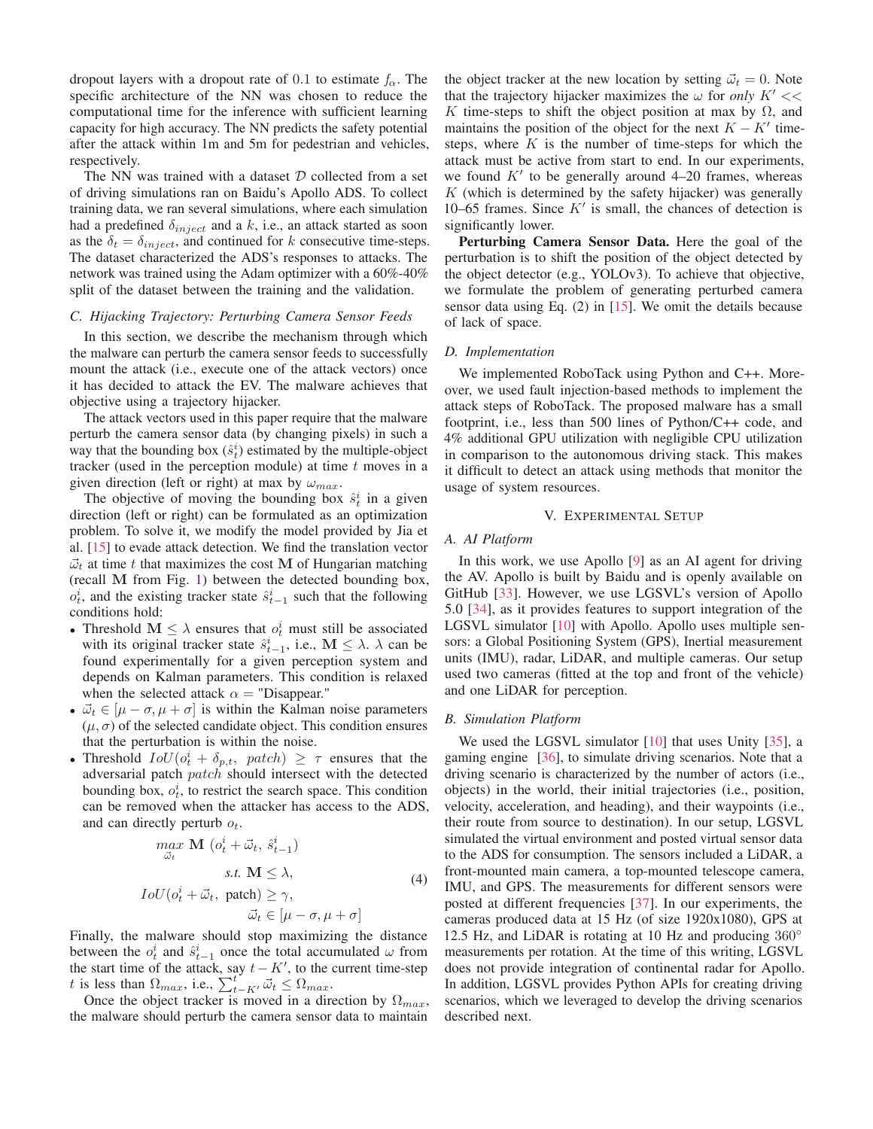dropout layers with a dropout rate of 0.1 to estimate  $f_{\alpha}$ . The specific architecture of the NN was chosen to reduce the computational time for the inference with sufficient learning capacity for high accuracy. The NN predicts the safety potential after the attack within 1m and 5m for pedestrian and vehicles, respectively.

The NN was trained with a dataset  $D$  collected from a set of driving simulations ran on Baidu's Apollo ADS. To collect training data, we ran several simulations, where each simulation had a predefined  $\delta_{inject}$  and a k, i.e., an attack started as soon as the  $\delta_t = \delta_{inject}$ , and continued for k consecutive time-steps. The dataset characterized the ADS's responses to attacks. The network was trained using the Adam optimizer with a 60%-40% split of the dataset between the training and the validation.

# *C. Hijacking Trajectory: Perturbing Camera Sensor Feeds*

In this section, we describe the mechanism through which the malware can perturb the camera sensor feeds to successfully mount the attack (i.e., execute one of the attack vectors) once it has decided to attack the EV. The malware achieves that objective using a trajectory hijacker.

The attack vectors used in this paper require that the malware perturb the camera sensor data (by changing pixels) in such a way that the bounding box  $(\hat{s}_t^i)$  estimated by the multiple-object tracker (used in the perception module) at time t moves in a tracker (used in the perception module) at time  $t$  moves in a given direction (left or right) at max by  $\omega_{max}$ .

The objective of moving the bounding box  $\hat{s}_t^i$  in a given ection (left or right) can be formulated as an optimization direction (left or right) can be formulated as an optimization problem. To solve it, we modify the model provided by Jia et al. [15] to evade attack detection. We find the translation vector  $\vec{\omega}_t$  at time t that maximizes the cost M of Hungarian matching (recall **M** from Fig. 1) between the detected bounding box,  $o_t^i$ , and the existing tracker state  $\hat{s}_{t-1}^i$  such that the following conditions hold: conditions hold:

- Threshold  $M \leq \lambda$  ensures that  $o_t^i$  must still be associated with its original tracker state  $\hat{s}_{t-1}^i$ , i.e.,  $\mathbf{M} \leq \lambda$ .  $\lambda$  can be found experimentally for a given perception system and found experimentally for a given perception system and depends on Kalman parameters. This condition is relaxed when the selected attack  $\alpha$  = "Disappear."
- $\vec{\omega}_t \in [\mu \sigma, \mu + \sigma]$  is within the Kalman noise parameters  $(\mu, \sigma)$  of the selected candidate object. This condition ensures  $(\mu, \sigma)$  of the selected candidate object. This condition ensures that the perturbation is within the noise.
- Threshold  $IoU(o_t^i + \delta_{p,t}, \text{patch}) \geq \tau$  ensures that the adversarial patch *notch* should intersect with the detected adversarial patch patch should intersect with the detected bounding box,  $o_t^i$ , to restrict the search space. This condition can be removed when the attacker has access to the ADS, and can directly perturb  $o_t$ .

$$
\max_{\vec{\omega}_t} \mathbf{M} \left( o_t^i + \vec{\omega}_t, \ \hat{s}_{t-1}^i \right)
$$
  
s.t.  $\mathbf{M} \le \lambda$ ,  

$$
IoU(o_t^i + \vec{\omega}_t, \ \text{patch}) \ge \gamma,
$$
  

$$
\vec{\omega}_t \in [\mu - \sigma, \mu + \sigma]
$$
 (4)

 $\vec{\omega}_t \in [\mu - \sigma, \mu + \sigma]$ <br>Finally, the malware should stop maximizing the distance between the  $o_t^i$  and  $\hat{s}_{t-1}^i$  once the total accumulated  $\omega$  from<br>the start time of the attack say  $t - K'$  to the current time-step the start time of the attack, say  $t - K'$ , to the current time-step t is less than  $\Omega_{max}$ , i.e.,  $\sum_{t-K}^{t} \vec{\omega}_t \leq \Omega_{max}$ .<br>Once the object tracker is moved in a direct

Once the object tracker is moved in a direction by  $\Omega_{max}$ , the malware should perturb the camera sensor data to maintain

the object tracker at the new location by setting  $\vec{\omega}_t = 0$ . Note that the trajectory hijacker maximizes the  $\omega$  for only  $K' <<$ that the trajectory hijacker maximizes the  $\omega$  for *only*  $K' \ll \infty$ K time-steps to shift the object position at max by  $\Omega$ , and maintains the position of the object for the next  $K - K'$  timesteps, where  $K$  is the number of time-steps for which the attack must be active from start to end. In our experiments, we found  $K'$  to be generally around 4–20 frames, whereas  $K$  (which is determined by the safety hijacker) was generally 10–65 frames. Since  $K'$  is small, the chances of detection is significantly lower.

Perturbing Camera Sensor Data. Here the goal of the perturbation is to shift the position of the object detected by the object detector (e.g., YOLOv3). To achieve that objective, we formulate the problem of generating perturbed camera sensor data using Eq.  $(2)$  in  $[15]$ . We omit the details because of lack of space.

## *D. Implementation*

We implemented RoboTack using Python and C++. Moreover, we used fault injection-based methods to implement the attack steps of RoboTack. The proposed malware has a small footprint, i.e., less than 500 lines of Python/C++ code, and 4% additional GPU utilization with negligible CPU utilization in comparison to the autonomous driving stack. This makes it difficult to detect an attack using methods that monitor the usage of system resources.

# V. EXPERIMENTAL SETUP

# *A. AI Platform*

In this work, we use Apollo [9] as an AI agent for driving the AV. Apollo is built by Baidu and is openly available on GitHub [33]. However, we use LGSVL's version of Apollo 5.0 [34], as it provides features to support integration of the LGSVL simulator [10] with Apollo. Apollo uses multiple sensors: a Global Positioning System (GPS), Inertial measurement units (IMU), radar, LiDAR, and multiple cameras. Our setup used two cameras (fitted at the top and front of the vehicle) and one LiDAR for perception.

## *B. Simulation Platform*

We used the LGSVL simulator [10] that uses Unity [35], a gaming engine [36], to simulate driving scenarios. Note that a driving scenario is characterized by the number of actors (i.e., objects) in the world, their initial trajectories (i.e., position, velocity, acceleration, and heading), and their waypoints (i.e., their route from source to destination). In our setup, LGSVL simulated the virtual environment and posted virtual sensor data to the ADS for consumption. The sensors included a LiDAR, a front-mounted main camera, a top-mounted telescope camera, IMU, and GPS. The measurements for different sensors were posted at different frequencies [37]. In our experiments, the cameras produced data at 15 Hz (of size 1920x1080), GPS at 12.5 Hz, and LiDAR is rotating at 10 Hz and producing 360◦ measurements per rotation. At the time of this writing, LGSVL does not provide integration of continental radar for Apollo. In addition, LGSVL provides Python APIs for creating driving scenarios, which we leveraged to develop the driving scenarios described next.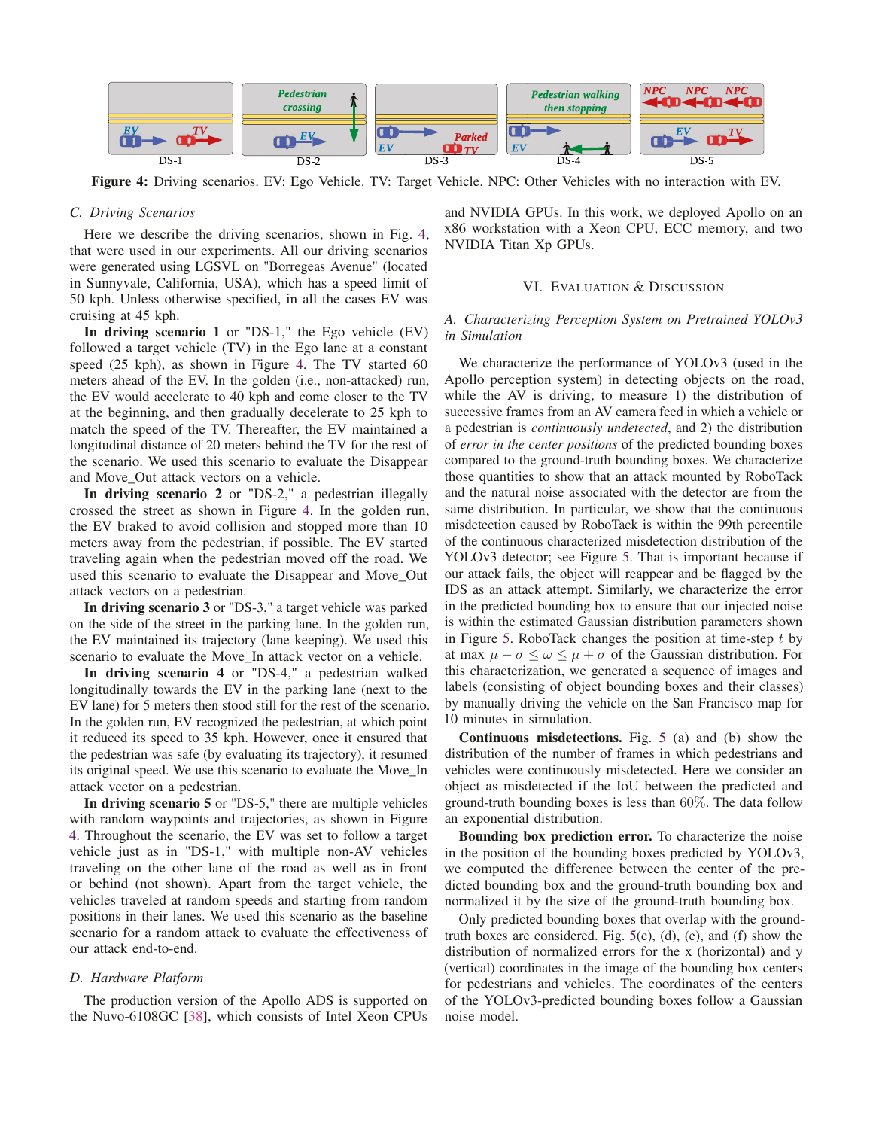

Figure 4: Driving scenarios. EV: Ego Vehicle. TV: Target Vehicle. NPC: Other Vehicles with no interaction with EV.

## *C. Driving Scenarios*

Here we describe the driving scenarios, shown in Fig. 4, that were used in our experiments. All our driving scenarios were generated using LGSVL on "Borregeas Avenue" (located in Sunnyvale, California, USA), which has a speed limit of 50 kph. Unless otherwise specified, in all the cases EV was cruising at 45 kph.

In driving scenario 1 or "DS-1," the Ego vehicle (EV) followed a target vehicle (TV) in the Ego lane at a constant speed (25 kph), as shown in Figure 4. The TV started 60 meters ahead of the EV. In the golden (i.e., non-attacked) run, the EV would accelerate to 40 kph and come closer to the TV at the beginning, and then gradually decelerate to 25 kph to match the speed of the TV. Thereafter, the EV maintained a longitudinal distance of 20 meters behind the TV for the rest of the scenario. We used this scenario to evaluate the Disappear and Move Out attack vectors on a vehicle.

In driving scenario 2 or "DS-2," a pedestrian illegally crossed the street as shown in Figure 4. In the golden run, the EV braked to avoid collision and stopped more than 10 meters away from the pedestrian, if possible. The EV started traveling again when the pedestrian moved off the road. We used this scenario to evaluate the Disappear and Move\_Out attack vectors on a pedestrian.

In driving scenario 3 or "DS-3," a target vehicle was parked on the side of the street in the parking lane. In the golden run, the EV maintained its trajectory (lane keeping). We used this scenario to evaluate the Move\_In attack vector on a vehicle.

In driving scenario 4 or "DS-4," a pedestrian walked longitudinally towards the EV in the parking lane (next to the EV lane) for 5 meters then stood still for the rest of the scenario. In the golden run, EV recognized the pedestrian, at which point it reduced its speed to 35 kph. However, once it ensured that the pedestrian was safe (by evaluating its trajectory), it resumed its original speed. We use this scenario to evaluate the Move\_In attack vector on a pedestrian.

In driving scenario 5 or "DS-5," there are multiple vehicles with random waypoints and trajectories, as shown in Figure 4. Throughout the scenario, the EV was set to follow a target vehicle just as in "DS-1," with multiple non-AV vehicles traveling on the other lane of the road as well as in front or behind (not shown). Apart from the target vehicle, the vehicles traveled at random speeds and starting from random positions in their lanes. We used this scenario as the baseline scenario for a random attack to evaluate the effectiveness of our attack end-to-end.

# *D. Hardware Platform*

The production version of the Apollo ADS is supported on the Nuvo-6108GC [38], which consists of Intel Xeon CPUs and NVIDIA GPUs. In this work, we deployed Apollo on an x86 workstation with a Xeon CPU, ECC memory, and two NVIDIA Titan Xp GPUs.

#### VI. EVALUATION & DISCUSSION

# *A. Characterizing Perception System on Pretrained YOLOv3 in Simulation*

We characterize the performance of YOLOv3 (used in the Apollo perception system) in detecting objects on the road, while the AV is driving, to measure 1) the distribution of successive frames from an AV camera feed in which a vehicle or a pedestrian is *continuously undetected*, and 2) the distribution of *error in the center positions* of the predicted bounding boxes compared to the ground-truth bounding boxes. We characterize those quantities to show that an attack mounted by RoboTack and the natural noise associated with the detector are from the same distribution. In particular, we show that the continuous misdetection caused by RoboTack is within the 99th percentile of the continuous characterized misdetection distribution of the YOLOv3 detector; see Figure 5. That is important because if our attack fails, the object will reappear and be flagged by the IDS as an attack attempt. Similarly, we characterize the error in the predicted bounding box to ensure that our injected noise is within the estimated Gaussian distribution parameters shown in Figure 5. RoboTack changes the position at time-step  $t$  by at max  $\mu - \sigma \leq \omega \leq \mu + \sigma$  of the Gaussian distribution. For this characterization, we generated a sequence of images and labels (consisting of object bounding boxes and their classes) by manually driving the vehicle on the San Francisco map for 10 minutes in simulation.

Continuous misdetections. Fig. 5 (a) and (b) show the distribution of the number of frames in which pedestrians and vehicles were continuously misdetected. Here we consider an object as misdetected if the IoU between the predicted and ground-truth bounding boxes is less than 60%. The data follow an exponential distribution.

Bounding box prediction error. To characterize the noise in the position of the bounding boxes predicted by YOLOv3, we computed the difference between the center of the predicted bounding box and the ground-truth bounding box and normalized it by the size of the ground-truth bounding box.

Only predicted bounding boxes that overlap with the groundtruth boxes are considered. Fig.  $5(c)$ , (d), (e), and (f) show the distribution of normalized errors for the x (horizontal) and y (vertical) coordinates in the image of the bounding box centers for pedestrians and vehicles. The coordinates of the centers of the YOLOv3-predicted bounding boxes follow a Gaussian noise model.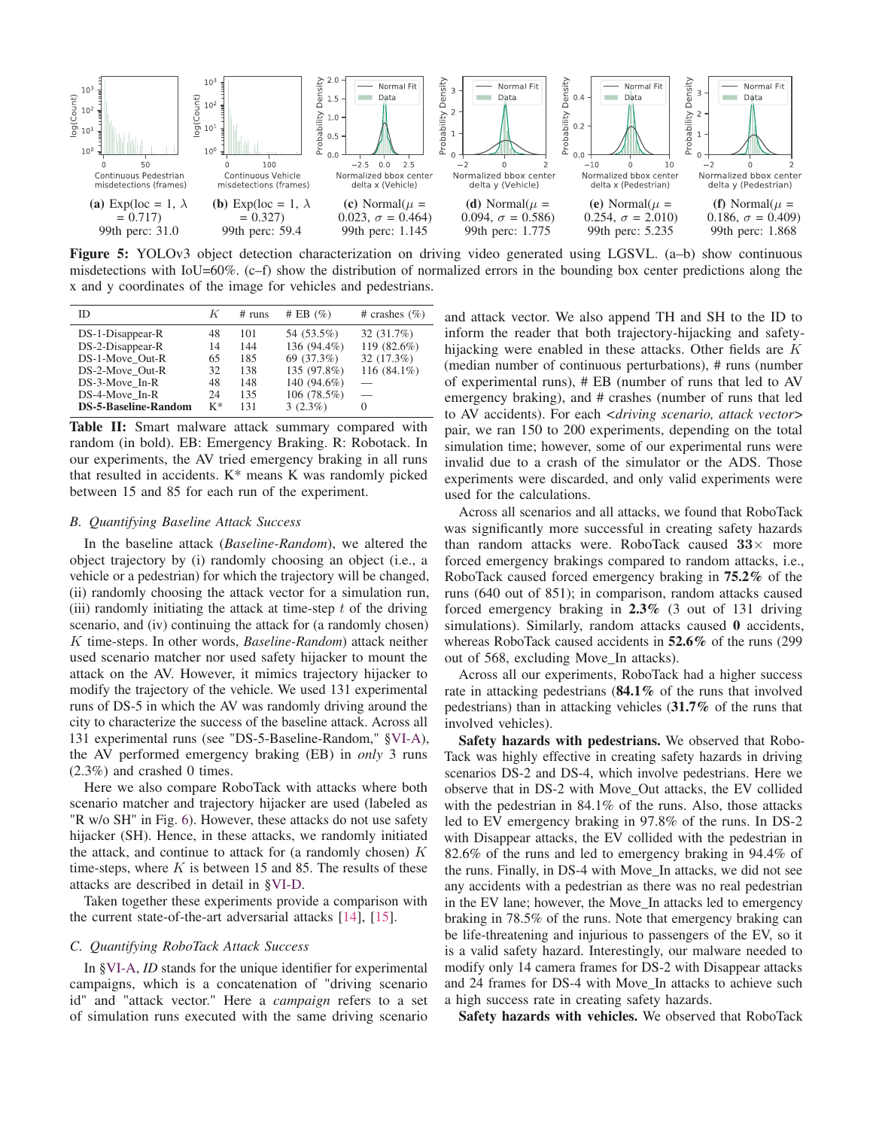

Figure 5: YOLOv3 object detection characterization on driving video generated using LGSVL. (a–b) show continuous misdetections with IoU=60%. (c–f) show the distribution of normalized errors in the bounding box center predictions along the x and y coordinates of the image for vehicles and pedestrians.

| ID.                         | K  | # runs | # EB $(\% )$ | # crashes $(\% )$ |
|-----------------------------|----|--------|--------------|-------------------|
| $DS-1-Disappear-R$          | 48 | 101    | 54 (53.5%)   | 32 (31.7%)        |
| DS-2-Disappear-R            | 14 | 144    | 136 (94.4%)  | 119 (82.6%)       |
| DS-1-Move Out-R             | 65 | 185    | 69 (37.3%)   | 32(17.3%)         |
| DS-2-Move Out-R             | 32 | 138    | 135 (97.8%)  | 116 (84.1%)       |
| DS-3-Move In-R              | 48 | 148    | 140 (94.6%)  |                   |
| DS-4-Move In-R              | 24 | 135    | 106 (78.5%)  |                   |
| <b>DS-5-Baseline-Random</b> | K* | 131    | $3(2.3\%)$   | $\Omega$          |

**Table II:** Smart malware attack summary compared with random (in bold). EB: Emergency Braking. R: Robotack. In our experiments, the AV tried emergency braking in all runs that resulted in accidents.  $K^*$  means K was randomly picked between 15 and 85 for each run of the experiment.

## *B. Quantifying Baseline Attack Success*

In the baseline attack (*Baseline-Random*), we altered the object trajectory by (i) randomly choosing an object (i.e., a vehicle or a pedestrian) for which the trajectory will be changed, (ii) randomly choosing the attack vector for a simulation run, (iii) randomly initiating the attack at time-step  $t$  of the driving scenario, and (iv) continuing the attack for (a randomly chosen) K time-steps. In other words, *Baseline-Random*) attack neither used scenario matcher nor used safety hijacker to mount the attack on the AV. However, it mimics trajectory hijacker to modify the trajectory of the vehicle. We used 131 experimental runs of DS-5 in which the AV was randomly driving around the city to characterize the success of the baseline attack. Across all 131 experimental runs (see "DS-5-Baseline-Random," §VI-A), the AV performed emergency braking (EB) in *only* 3 runs (2.3%) and crashed 0 times.

Here we also compare RoboTack with attacks where both scenario matcher and trajectory hijacker are used (labeled as "R w/o SH" in Fig. 6). However, these attacks do not use safety hijacker (SH). Hence, in these attacks, we randomly initiated the attack, and continue to attack for (a randomly chosen)  $K$ time-steps, where  $K$  is between 15 and 85. The results of these attacks are described in detail in §VI-D.

Taken together these experiments provide a comparison with the current state-of-the-art adversarial attacks [14], [15].

## *C. Quantifying RoboTack Attack Success*

In §VI-A, *ID* stands for the unique identifier for experimental campaigns, which is a concatenation of "driving scenario id" and "attack vector." Here a *campaign* refers to a set of simulation runs executed with the same driving scenario and attack vector. We also append TH and SH to the ID to inform the reader that both trajectory-hijacking and safetyhijacking were enabled in these attacks. Other fields are K (median number of continuous perturbations), # runs (number of experimental runs), # EB (number of runs that led to AV emergency braking), and # crashes (number of runs that led to AV accidents). For each *<driving scenario, attack vector>* pair, we ran 150 to 200 experiments, depending on the total simulation time; however, some of our experimental runs were invalid due to a crash of the simulator or the ADS. Those experiments were discarded, and only valid experiments were used for the calculations.

Across all scenarios and all attacks, we found that RoboTack was significantly more successful in creating safety hazards than random attacks were. RoboTack caused **33**× more forced emergency brakings compared to random attacks, i.e., RoboTack caused forced emergency braking in 75.2% of the runs (640 out of 851); in comparison, random attacks caused forced emergency braking in 2.3% (3 out of 131 driving simulations). Similarly, random attacks caused 0 accidents, whereas RoboTack caused accidents in 52.6% of the runs (299 out of 568, excluding Move\_In attacks).

Across all our experiments, RoboTack had a higher success rate in attacking pedestrians (84.1% of the runs that involved pedestrians) than in attacking vehicles (31.7% of the runs that involved vehicles).

Safety hazards with pedestrians. We observed that Robo-Tack was highly effective in creating safety hazards in driving scenarios DS-2 and DS-4, which involve pedestrians. Here we observe that in DS-2 with Move\_Out attacks, the EV collided with the pedestrian in 84.1% of the runs. Also, those attacks led to EV emergency braking in 97.8% of the runs. In DS-2 with Disappear attacks, the EV collided with the pedestrian in 82.6% of the runs and led to emergency braking in 94.4% of the runs. Finally, in DS-4 with Move\_In attacks, we did not see any accidents with a pedestrian as there was no real pedestrian in the EV lane; however, the Move\_In attacks led to emergency braking in 78.5% of the runs. Note that emergency braking can be life-threatening and injurious to passengers of the EV, so it is a valid safety hazard. Interestingly, our malware needed to modify only 14 camera frames for DS-2 with Disappear attacks and 24 frames for DS-4 with Move\_In attacks to achieve such a high success rate in creating safety hazards.

Safety hazards with vehicles. We observed that RoboTack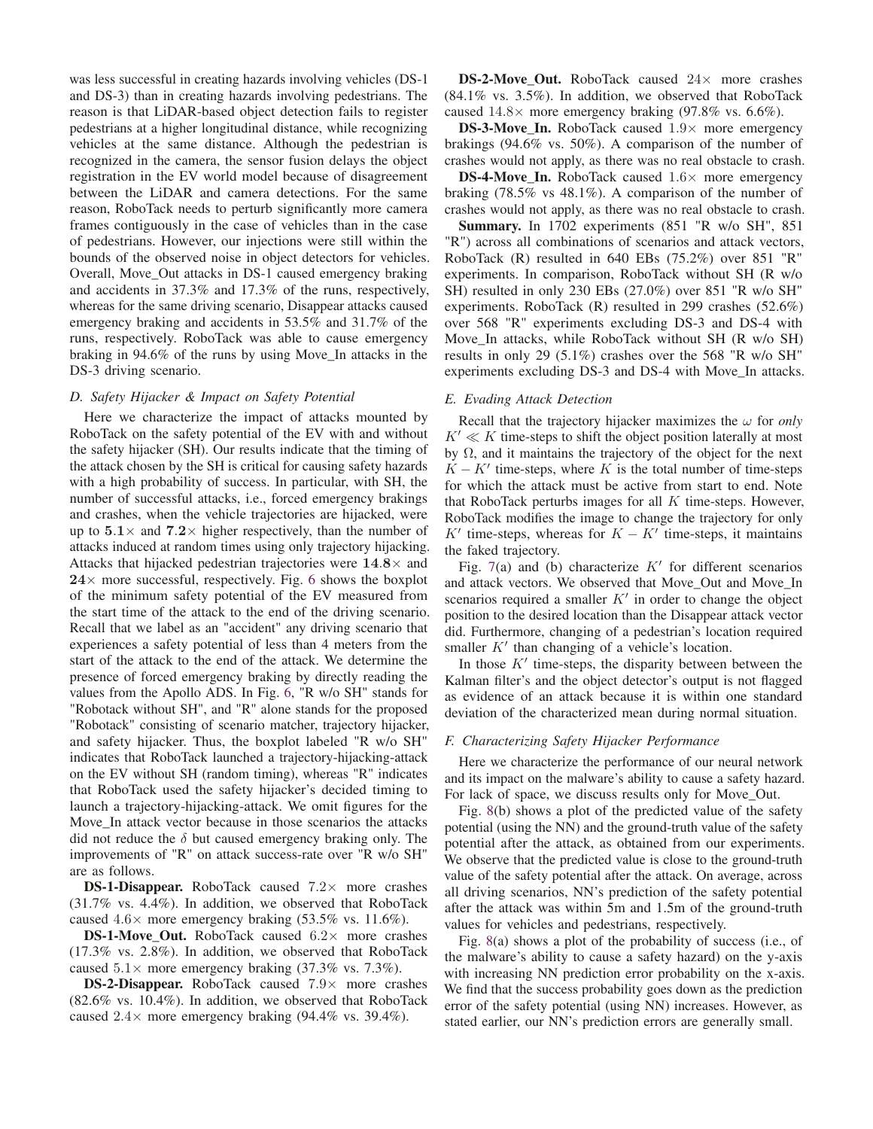was less successful in creating hazards involving vehicles (DS-1 and DS-3) than in creating hazards involving pedestrians. The reason is that LiDAR-based object detection fails to register pedestrians at a higher longitudinal distance, while recognizing vehicles at the same distance. Although the pedestrian is recognized in the camera, the sensor fusion delays the object registration in the EV world model because of disagreement between the LiDAR and camera detections. For the same reason, RoboTack needs to perturb significantly more camera frames contiguously in the case of vehicles than in the case of pedestrians. However, our injections were still within the bounds of the observed noise in object detectors for vehicles. Overall, Move\_Out attacks in DS-1 caused emergency braking and accidents in 37.3% and 17.3% of the runs, respectively, whereas for the same driving scenario, Disappear attacks caused emergency braking and accidents in 53.5% and 31.7% of the runs, respectively. RoboTack was able to cause emergency braking in 94.6% of the runs by using Move\_In attacks in the DS-3 driving scenario.

## *D. Safety Hijacker & Impact on Safety Potential*

Here we characterize the impact of attacks mounted by RoboTack on the safety potential of the EV with and without the safety hijacker (SH). Our results indicate that the timing of the attack chosen by the SH is critical for causing safety hazards with a high probability of success. In particular, with SH, the number of successful attacks, i.e., forced emergency brakings and crashes, when the vehicle trajectories are hijacked, were up to  $5.1 \times$  and  $7.2 \times$  higher respectively, than the number of attacks induced at random times using only trajectory hijacking. Attacks that hijacked pedestrian trajectories were **14**.**8**× and  $24 \times$  more successful, respectively. Fig. 6 shows the boxplot of the minimum safety potential of the EV measured from the start time of the attack to the end of the driving scenario. Recall that we label as an "accident" any driving scenario that experiences a safety potential of less than 4 meters from the start of the attack to the end of the attack. We determine the presence of forced emergency braking by directly reading the values from the Apollo ADS. In Fig. 6, "R w/o SH" stands for "Robotack without SH", and "R" alone stands for the proposed "Robotack" consisting of scenario matcher, trajectory hijacker, and safety hijacker. Thus, the boxplot labeled "R w/o SH" indicates that RoboTack launched a trajectory-hijacking-attack on the EV without SH (random timing), whereas "R" indicates that RoboTack used the safety hijacker's decided timing to launch a trajectory-hijacking-attack. We omit figures for the Move\_In attack vector because in those scenarios the attacks did not reduce the  $\delta$  but caused emergency braking only. The improvements of "R" on attack success-rate over "R w/o SH" are as follows.

DS-1-Disappear. RoboTack caused  $7.2\times$  more crashes (31.7% vs. 4.4%). In addition, we observed that RoboTack caused  $4.6\times$  more emergency braking (53.5% vs. 11.6%).

**DS-1-Move\_Out.** RoboTack caused  $6.2 \times$  more crashes (17.3% vs. 2.8%). In addition, we observed that RoboTack caused  $5.1\times$  more emergency braking (37.3% vs. 7.3%).

DS-2-Disappear. RoboTack caused  $7.9\times$  more crashes (82.6% vs. 10.4%). In addition, we observed that RoboTack caused  $2.4\times$  more emergency braking (94.4% vs. 39.4%).

DS-2-Move\_Out. RoboTack caused  $24\times$  more crashes (84.1% vs. 3.5%). In addition, we observed that RoboTack caused  $14.8\times$  more emergency braking (97.8% vs. 6.6%).

**DS-3-Move In.** RoboTack caused  $1.9\times$  more emergency brakings (94.6% vs. 50%). A comparison of the number of crashes would not apply, as there was no real obstacle to crash.

**DS-4-Move In.** RoboTack caused  $1.6\times$  more emergency braking (78.5% vs 48.1%). A comparison of the number of crashes would not apply, as there was no real obstacle to crash.

Summary. In 1702 experiments (851 "R w/o SH", 851 "R") across all combinations of scenarios and attack vectors, RoboTack (R) resulted in 640 EBs (75.2%) over 851 "R" experiments. In comparison, RoboTack without SH (R w/o SH) resulted in only 230 EBs (27.0%) over 851 "R w/o SH" experiments. RoboTack (R) resulted in 299 crashes (52.6%) over 568 "R" experiments excluding DS-3 and DS-4 with Move\_In attacks, while RoboTack without SH (R w/o SH) results in only 29 (5.1%) crashes over the 568 "R w/o SH" experiments excluding DS-3 and DS-4 with Move\_In attacks.

# *E. Evading Attack Detection*

Recall that the trajectory hijacker maximizes the  $\omega$  for *only*  $K' \ll K$  time-steps to shift the object position laterally at most by Ω, and it maintains the trajectory of the object for the next  $K - K'$  time-steps, where K is the total number of time-steps for which the attack must be active from start to end. Note that RoboTack perturbs images for all  $K$  time-steps. However, RoboTack modifies the image to change the trajectory for only K' time-steps, whereas for  $K - K'$  time-steps, it maintains the faked trajectory.

Fig. 7(a) and (b) characterize  $K'$  for different scenarios and attack vectors. We observed that Move\_Out and Move\_In scenarios required a smaller  $K'$  in order to change the object position to the desired location than the Disappear attack vector did. Furthermore, changing of a pedestrian's location required smaller  $K'$  than changing of a vehicle's location.

In those  $K'$  time-steps, the disparity between between the Kalman filter's and the object detector's output is not flagged as evidence of an attack because it is within one standard deviation of the characterized mean during normal situation.

#### *F. Characterizing Safety Hijacker Performance*

Here we characterize the performance of our neural network and its impact on the malware's ability to cause a safety hazard. For lack of space, we discuss results only for Move Out.

Fig. 8(b) shows a plot of the predicted value of the safety potential (using the NN) and the ground-truth value of the safety potential after the attack, as obtained from our experiments. We observe that the predicted value is close to the ground-truth value of the safety potential after the attack. On average, across all driving scenarios, NN's prediction of the safety potential after the attack was within 5m and 1.5m of the ground-truth values for vehicles and pedestrians, respectively.

Fig. 8(a) shows a plot of the probability of success (i.e., of the malware's ability to cause a safety hazard) on the y-axis with increasing NN prediction error probability on the x-axis. We find that the success probability goes down as the prediction error of the safety potential (using NN) increases. However, as stated earlier, our NN's prediction errors are generally small.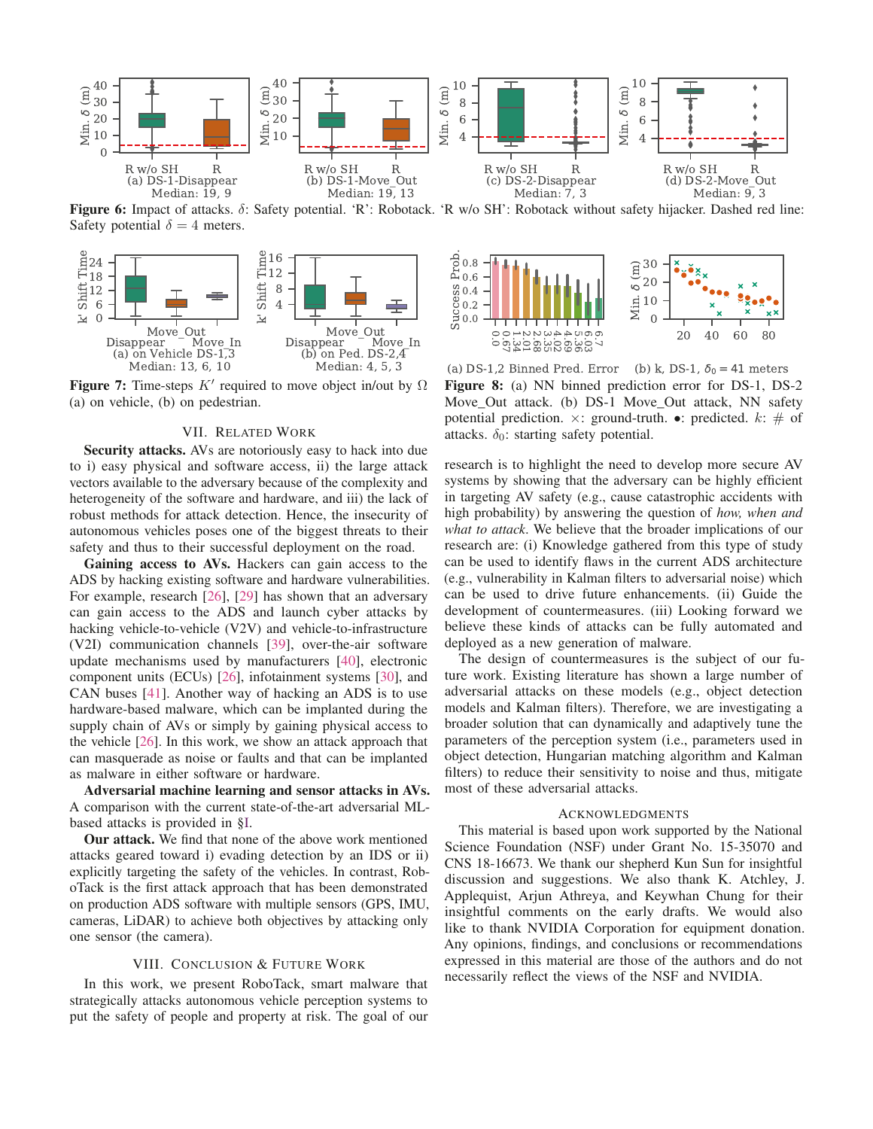

Figure 6: Impact of attacks. δ: Safety potential. 'R': Robotack. 'R w/o SH': Robotack without safety hijacker. Dashed red line: Safety potential  $\delta = 4$  meters.



**Figure 7:** Time-steps  $K'$  required to move object in/out by  $\Omega$ (a) on vehicle, (b) on pedestrian.

# VII. RELATED WORK

Security attacks. AVs are notoriously easy to hack into due to i) easy physical and software access, ii) the large attack vectors available to the adversary because of the complexity and heterogeneity of the software and hardware, and iii) the lack of robust methods for attack detection. Hence, the insecurity of autonomous vehicles poses one of the biggest threats to their safety and thus to their successful deployment on the road.

Gaining access to AVs. Hackers can gain access to the ADS by hacking existing software and hardware vulnerabilities. For example, research [26], [29] has shown that an adversary can gain access to the ADS and launch cyber attacks by hacking vehicle-to-vehicle (V2V) and vehicle-to-infrastructure (V2I) communication channels [39], over-the-air software update mechanisms used by manufacturers [40], electronic component units (ECUs) [26], infotainment systems [30], and CAN buses [41]. Another way of hacking an ADS is to use hardware-based malware, which can be implanted during the supply chain of AVs or simply by gaining physical access to the vehicle [26]. In this work, we show an attack approach that can masquerade as noise or faults and that can be implanted as malware in either software or hardware.

Adversarial machine learning and sensor attacks in AVs. A comparison with the current state-of-the-art adversarial MLbased attacks is provided in §I.

Our attack. We find that none of the above work mentioned attacks geared toward i) evading detection by an IDS or ii) explicitly targeting the safety of the vehicles. In contrast, RoboTack is the first attack approach that has been demonstrated on production ADS software with multiple sensors (GPS, IMU, cameras, LiDAR) to achieve both objectives by attacking only one sensor (the camera).

## VIII. CONCLUSION & FUTURE WORK

In this work, we present RoboTack, smart malware that strategically attacks autonomous vehicle perception systems to put the safety of people and property at risk. The goal of our



(a) DS-1,2 Binned Pred. Error (b) k, DS-1,  $\delta_0 = 41$  meters Figure 8: (a) NN binned prediction error for DS-1, DS-2 Move Out attack. (b) DS-1 Move Out attack, NN safety potential prediction.  $\times$ : ground-truth. •: predicted.  $k$ :  $\#$  of attacks.  $\delta_0$ : starting safety potential.

research is to highlight the need to develop more secure AV systems by showing that the adversary can be highly efficient in targeting AV safety (e.g., cause catastrophic accidents with high probability) by answering the question of *how, when and what to attack*. We believe that the broader implications of our research are: (i) Knowledge gathered from this type of study can be used to identify flaws in the current ADS architecture (e.g., vulnerability in Kalman filters to adversarial noise) which can be used to drive future enhancements. (ii) Guide the development of countermeasures. (iii) Looking forward we believe these kinds of attacks can be fully automated and deployed as a new generation of malware.

The design of countermeasures is the subject of our future work. Existing literature has shown a large number of adversarial attacks on these models (e.g., object detection models and Kalman filters). Therefore, we are investigating a broader solution that can dynamically and adaptively tune the parameters of the perception system (i.e., parameters used in object detection, Hungarian matching algorithm and Kalman filters) to reduce their sensitivity to noise and thus, mitigate most of these adversarial attacks.

## ACKNOWLEDGMENTS

This material is based upon work supported by the National Science Foundation (NSF) under Grant No. 15-35070 and CNS 18-16673. We thank our shepherd Kun Sun for insightful discussion and suggestions. We also thank K. Atchley, J. Applequist, Arjun Athreya, and Keywhan Chung for their insightful comments on the early drafts. We would also like to thank NVIDIA Corporation for equipment donation. Any opinions, findings, and conclusions or recommendations expressed in this material are those of the authors and do not necessarily reflect the views of the NSF and NVIDIA.